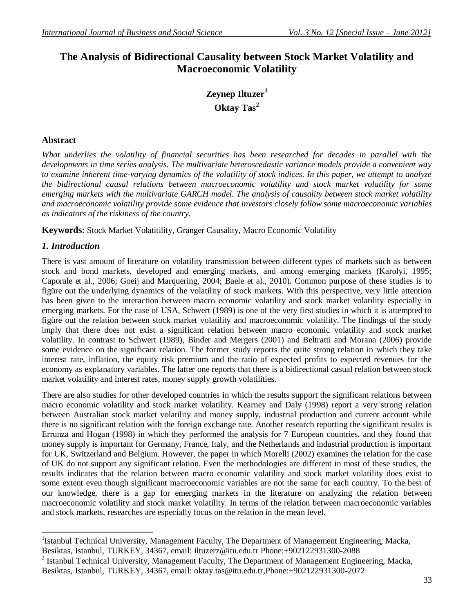# **The Analysis of Bidirectional Causality between Stock Market Volatility and Macroeconomic Volatility**

# **Zeynep Iltuzer<sup>1</sup> Oktay Tas<sup>2</sup>**

### **Abstract**

*What underlies the volatility of financial securities has been researched for decades in parallel with the developments in time series analysis. The multivariate heteroscedastic variance models provide a convenient way to examine inherent time-varying dynamics of the volatility of stock indices. In this paper, we attempt to analyze the bidirectional causal relations between macroeconomic volatility and stock market volatility for some emerging markets with the multivariate GARCH model. The analysis of causality between stock market volatility and macroeconomic volatility provide some evidence that investors closely follow some macroeconomic variables as indicators of the riskiness of the country.*

**Keywords**: Stock Market Volatitility, Granger Causality, Macro Economic Volatility

# *1. Introduction*

There is vast amount of literature on volatility transmission between different types of markets such as between stock and bond markets, developed and emerging markets, and among emerging markets (Karolyi, 1995; Caporale et al., 2006; Goeij and Marquering, 2004; Baele et al., 2010). Common purpose of these studies is to figüre out the underlying dynamics of the volatility of stock markets. With this perspective, very little attention has been given to the interaction between macro economic volatility and stock market volatility especially in emerging markets. For the case of USA, Schwert (1989) is one of the very first studies in which it is attempted to figüre out the relation between stock market volatility and macroeconomic volatility. The findings of the study imply that there does not exist a significant relation between macro economic volatility and stock market volatility. In contrast to Schwert (1989), Binder and Mergers (2001) and Beltratti and Morana (2006) provide some evidence on the significant relation. The former study reports the quite strong relation in which they take interest rate, inflation, the equity risk premium and the ratio of expected profits to expected revenues for the economy as explanatory variables. The latter one reports that there is a bidirectional casual relation between stock market volatility and interest rates, money supply growth volatilities.

There are also studies for other developed countries in which the results support the significant relations between macro economic volatility and stock market volatility. Kearney and Daly (1998) report a very strong relation between Australian stock market volatility and money supply, industrial production and current account while there is no significant relation with the foreign exchange rate. Another research reporting the significant results is Errunza and Hogan (1998) in which they performed the analysis for 7 European countries, and they found that money supply is important for Germany, France, Italy, and the Netherlands and industrial production is important for UK, Switzerland and Belgium. However, the paper in which Morelli (2002) examines the relation for the case of UK do not support any significant relation. Even the methodologies are different in most of these studies, the results indicates that the relation between macro economic volatility and stock market volatility does exist to some extent even though significant macroeconomic variables are not the same for each country. To the best of our knowledge, there is a gap for emerging markets in the literature on analyzing the relation between macroeconomic volatility and stock market volatility. In terms of the relation between macroeconomic variables and stock markets, researches are especially focus on the relation in the mean level.

 $\overline{a}$ <sup>1</sup>Istanbul Technical University, Management Faculty, The Department of Management Engineering, Macka, Besiktas, Istanbul, TURKEY, 34367, email: iltuzerz@itu.edu.tr Phone:+902122931300-2088

 $2$  Istanbul Technical University, Management Faculty, The Department of Management Engineering, Macka, Besiktas, Istanbul, TURKEY, 34367, email: oktay.tas@itu.edu.tr,Phone:+902122931300-2072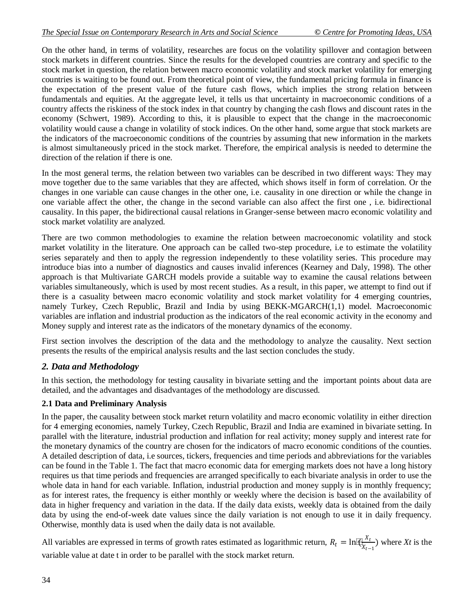On the other hand, in terms of volatility, researches are focus on the volatility spillover and contagion between stock markets in different countries. Since the results for the developed countries are contrary and specific to the stock market in question, the relation between macro economic volatility and stock market volatility for emerging countries is waiting to be found out. From theoretical point of view, the fundamental pricing formula in finance is the expectation of the present value of the future cash flows, which implies the strong relation between fundamentals and equities. At the aggregate level, it tells us that uncertainty in macroeconomic conditions of a country affects the riskiness of the stock index in that country by changing the cash flows and discount rates in the economy (Schwert, 1989). According to this, it is plausible to expect that the change in the macroeconomic volatility would cause a change in volatility of stock indices. On the other hand, some argue that stock markets are the indicators of the macroeconomic conditions of the countries by assuming that new information in the markets is almost simultaneously priced in the stock market. Therefore, the empirical analysis is needed to determine the direction of the relation if there is one.

In the most general terms, the relation between two variables can be described in two different ways: They may move together due to the same variables that they are affected, which shows itself in form of correlation. Or the changes in one variable can cause changes in the other one, i.e. causality in one direction or while the change in one variable affect the other, the change in the second variable can also affect the first one , i.e. bidirectional causality. In this paper, the bidirectional causal relations in Granger-sense between macro economic volatility and stock market volatility are analyzed.

There are two common methodologies to examine the relation between macroeconomic volatility and stock market volatility in the literature. One approach can be called two-step procedure, i.e to estimate the volatility series separately and then to apply the regression independently to these volatility series. This procedure may introduce bias into a number of diagnostics and causes invalid inferences (Kearney and Daly, 1998). The other approach is that Multivariate GARCH models provide a suitable way to examine the causal relations between variables simultaneously, which is used by most recent studies. As a result, in this paper, we attempt to find out if there is a casuality between macro economic volatility and stock market volatility for 4 emerging countries, namely Turkey, Czech Republic, Brazil and India by using BEKK-MGARCH(1,1) model. Macroeconomic variables are inflation and industrial production as the indicators of the real economic activity in the economy and Money supply and interest rate as the indicators of the monetary dynamics of the economy.

First section involves the description of the data and the methodology to analyze the causality. Next section presents the results of the empirical analysis results and the last section concludes the study.

# *2. Data and Methodology*

In this section, the methodology for testing causality in bivariate setting and the important points about data are detailed, and the advantages and disadvantages of the methodology are discussed.

# **2.1 Data and Preliminary Analysis**

In the paper, the causality between stock market return volatility and macro economic volatility in either direction for 4 emerging economies, namely Turkey, Czech Republic, Brazil and India are examined in bivariate setting. In parallel with the literature, industrial production and inflation for real activity; money supply and interest rate for the monetary dynamics of the country are chosen for the indicators of macro economic conditions of the counties. A detailed description of data, i.e sources, tickers, frequencies and time periods and abbreviations for the variables can be found in the Table 1. The fact that macro economic data for emerging markets does not have a long history requires us that time periods and frequencies are arranged specifically to each bivariate analysis in order to use the whole data in hand for each variable. Inflation, industrial production and money supply is in monthly frequency; as for interest rates, the frequency is either monthly or weekly where the decision is based on the availability of data in higher frequency and variation in the data. If the daily data exists, weekly data is obtained from the daily data by using the end-of-week date values since the daily variation is not enough to use it in daily frequency. Otherwise, monthly data is used when the daily data is not available.

All variables are expressed in terms of growth rates estimated as logarithmic return,  $R_t = \ln[\frac{X_t}{X_t}]$  $\frac{d^2t}{dt^2}$  where *Xt* is the variable value at date t in order to be parallel with the stock market return.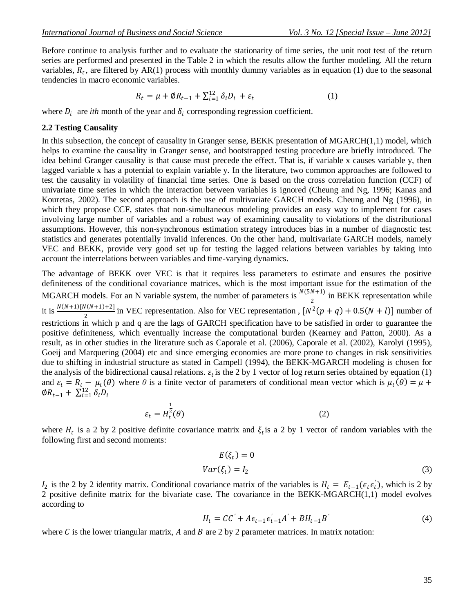Before continue to analysis further and to evaluate the stationarity of time series, the unit root test of the return series are performed and presented in the Table 2 in which the results allow the further modeling. All the return variables,  $R_t$ , are filtered by AR(1) process with monthly dummy variables as in equation (1) due to the seasonal tendencies in macro economic variables.

$$
R_t = \mu + \emptyset R_{t-1} + \sum_{i=1}^{12} \delta_i D_i + \varepsilon_t \tag{1}
$$

where  $D_i$  are *ith* month of the year and  $\delta_i$  corresponding regression coefficient.

#### **2.2 Testing Causality**

In this subsection, the concept of causality in Granger sense, BEKK presentation of MGARCH(1,1) model, which helps to examine the causality in Granger sense, and bootstrapped testing procedure are briefly introduced. The idea behind Granger causality is that cause must precede the effect. That is, if variable x causes variable y, then lagged variable x has a potential to explain variable y. In the literature, two common approaches are followed to test the causality in volatility of financial time series. One is based on the cross correlation function (CCF) of univariate time series in which the interaction between variables is ignored (Cheung and Ng, 1996; Kanas and Kouretas, 2002). The second approach is the use of multivariate GARCH models. Cheung and Ng (1996), in which they propose CCF, states that non-simultaneous modeling provides an easy way to implement for cases involving large number of variables and a robust way of examining causality to violations of the distributional assumptions. However, this non-synchronous estimation strategy introduces bias in a number of diagnostic test statistics and generates potentially invalid inferences. On the other hand, multivariate GARCH models, namely VEC and BEKK, provide very good set up for testing the lagged relations between variables by taking into account the interrelations between variables and time-varying dynamics.

The advantage of BEKK over VEC is that it requires less parameters to estimate and ensures the positive definiteness of the conditional covariance matrices, which is the most important issue for the estimation of the MGARCH models. For an N variable system, the number of parameters is  $\frac{N(5N+1)}{2}$  in BEKK representation while it is  $\frac{N(N+1)[N(N+1)+2]}{2}$  in VEC representation. Also for VEC representation,  $[N^2(p+q) + 0.5(N+l)]$  number of restrictions in which p and q are the lags of GARCH specification have to be satisfied in order to guarantee the positive definiteness, which eventually increase the computational burden (Kearney and Patton, 2000). As a result, as in other studies in the literature such as Caporale et al. (2006), Caporale et al. (2002), Karolyi (1995), Goeij and Marquering (2004) etc and since emerging economies are more prone to changes in risk sensitivities due to shifting in industrial structure as stated in Campell (1994), the BEKK-MGARCH modeling is chosen for the analysis of the bidirectional causal relations.  $\varepsilon_t$  is the 2 by 1 vector of log return series obtained by equation (1) and  $\varepsilon_t = R_t - \mu_t(\theta)$  where  $\theta$  is a finite vector of parameters of conditional mean vector which is  $\mu_t(\theta) = \mu +$  $\emptyset R_{t-1} + \sum_{i=1}^{12} \delta_i D_i$ 

$$
\varepsilon_t = H_t^{\frac{1}{2}}(\theta) \tag{2}
$$

where  $H_t$  is a 2 by 2 positive definite covariance matrix and  $\xi_t$  is a 2 by 1 vector of random variables with the following first and second moments:

$$
E(\xi_t) = 0
$$
  
 
$$
Var(\xi_t) = I_2
$$
 (3)

 $I_2$  is the 2 by 2 identity matrix. Conditional covariance matrix of the variables is  $H_t = E_{t-1}(\epsilon_t \epsilon_t)$ , which is 2 by 2 positive definite matrix for the bivariate case. The covariance in the BEKK-MGARCH(1,1) model evolves according to

$$
H_t = CC' + A\epsilon_{t-1}\epsilon_{t-1}'A' + BH_{t-1}B'
$$
\n(4)

where  $C$  is the lower triangular matrix,  $A$  and  $B$  are 2 by 2 parameter matrices. In matrix notation: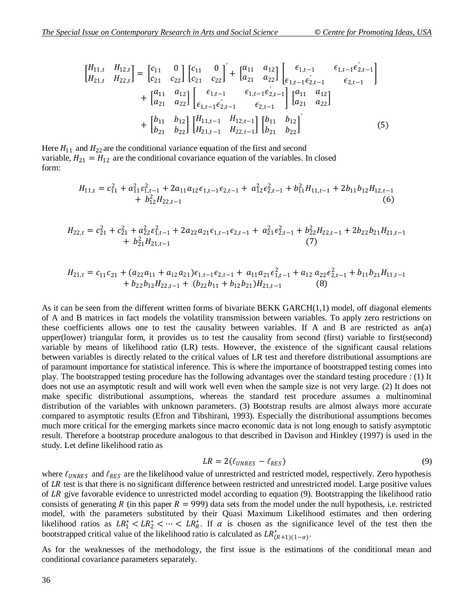$$
\begin{aligned}\n\begin{bmatrix}\nH_{11,t} & H_{12,t} \\
H_{21,t} & H_{22,t}\n\end{bmatrix} &= \n\begin{bmatrix}\nc_{11} & 0 \\
c_{21} & c_{22}\n\end{bmatrix}\n\begin{bmatrix}\nc_{11} & 0 \\
c_{21} & c_{22}\n\end{bmatrix}' + \n\begin{bmatrix}\na_{11} & a_{12} \\
a_{21} & a_{22}\n\end{bmatrix}\n\begin{bmatrix}\n\epsilon_{1,t-1} & \epsilon_{1,t-1} \\
\epsilon_{1,t-1} & \epsilon_{2,t-1} \\
\epsilon_{1,t-1} & \epsilon_{2,t-1}\n\end{bmatrix} \\
&+ \n\begin{bmatrix}\na_{11} & a_{12} \\
a_{21} & a_{22}\n\end{bmatrix}\n\begin{bmatrix}\n\epsilon_{1,t-1} & \epsilon_{1,t-1} \\
\epsilon_{1,t-1} & \epsilon_{2,t-1} \\
\epsilon_{2,t-1} & \epsilon_{2,t-1}\n\end{bmatrix}\n\begin{bmatrix}\na_{11} & a_{12} \\
a_{21} & a_{22}\n\end{bmatrix} \\
&+ \n\begin{bmatrix}\nb_{11} & b_{12} \\
b_{21} & b_{22}\n\end{bmatrix}\n\begin{bmatrix}\nH_{11,t-1} & H_{12,t-1} \\
H_{21,t-1} & H_{22,t-1}\n\end{bmatrix}\n\begin{bmatrix}\nb_{11} & b_{12} \\
b_{21} & b_{22}\n\end{bmatrix}'\n\end{aligned} (5)
$$

Here  $H_{11}$  and  $H_{22}$  are the conditional variance equation of the first and second variable,  $H_{21} = H_{12}$  are the conditional covariance equation of the variables. In closed form:

$$
H_{11,t} = c_{11}^2 + a_{11}^2 \varepsilon_{1,t-1}^2 + 2a_{11}a_{12} \varepsilon_{1,t-1} \varepsilon_{2,t-1} + a_{12}^2 \varepsilon_{2,t-1}^2 + b_{11}^2 H_{11,t-1} + 2b_{11}b_{12}H_{12,t-1} + b_{12}^2 H_{22,t-1}
$$
\n
$$
(6)
$$

$$
H_{22,t} = c_{21}^2 + c_{21}^2 + a_{22}^2 \varepsilon_{1,t-1}^2 + 2a_{22}a_{21}\varepsilon_{1,t-1}\varepsilon_{2,t-1} + a_{21}^2 \varepsilon_{2,t-1}^2 + b_{22}^2 H_{22,t-1} + 2b_{22}b_{21}H_{21,t-1}
$$
  
(7)

$$
H_{21,t} = c_{11}c_{21} + (a_{22}a_{11} + a_{12}a_{21})\epsilon_{1,t-1}\epsilon_{2,t-1} + a_{11}a_{21}\epsilon_{1,t-1}^2 + a_{12}a_{22}\epsilon_{2,t-1}^2 + b_{11}b_{21}H_{11,t-1} + b_{22}b_{12}H_{22,t-1} + (b_{22}b_{11} + b_{12}b_{21})H_{21,t-1}
$$
 (8)

As it can be seen from the different written forms of bivariate BEKK GARCH(1,1) model, off diagonal elements of A and B matrices in fact models the volatility transmission between variables. To apply zero restrictions on these coefficients allows one to test the causality between variables. If A and B are restricted as an(a) upper(lower) triangular form, it provides us to test the causality from second (first) variable to first(second) variable by means of likelihood ratio (LR) tests. However, the existence of the significant causal relations between variables is directly related to the critical values of LR test and therefore distributional assumptions are of paramount importance for statistical inference. This is where the importance of bootstrapped testing comes into play. The bootstrapped testing procedure has the following advantages over the standard testing procedure : (1) It does not use an asymptotic result and will work well even when the sample size is not very large. (2) It does not make specific distributional assumptions, whereas the standard test procedure assumes a multinominal distribution of the variables with unknown parameters. (3) Bootstrap results are almost always more accurate compared to asymptotic results (Efron and Tibshirani, 1993). Especially the distributional assumptions becomes much more critical for the emerging markets since macro economic data is not long enough to satisfy asymptotic result. Therefore a bootstrap procedure analogous to that described in Davison and Hinkley (1997) is used in the study. Let define likelihood ratio as

$$
LR = 2(\ell_{UNRES} - \ell_{RES})
$$
\n(9)

where  $\ell_{UNRES}$  and  $\ell_{RES}$  are the likelihood value of unrestricted and restricted model, respectively. Zero hypothesis of  $LR$  test is that there is no significant difference between restricted and unrestricted model. Large positive values of  $LR$  give favorable evidence to unrestricted model according to equation (9). Bootstrapping the likelihood ratio consists of generating R (in this paper  $R = 999$ ) data sets from the model under the null hypothesis, i.e. restricted model, with the parameters substituted by their Quasi Maximum Likelihood estimates and then ordering likelihood ratios as  $LR_1^* < LR_2^* < \cdots < LR_R^*$ . If  $\alpha$  is chosen as the significance level of the test then the bootstrapped critical value of the likelihood ratio is calculated as  $LR^*_{(R+1)(1-\alpha)}$ .

As for the weaknesses of the methodology, the first issue is the estimations of the conditional mean and conditional covariance parameters separately.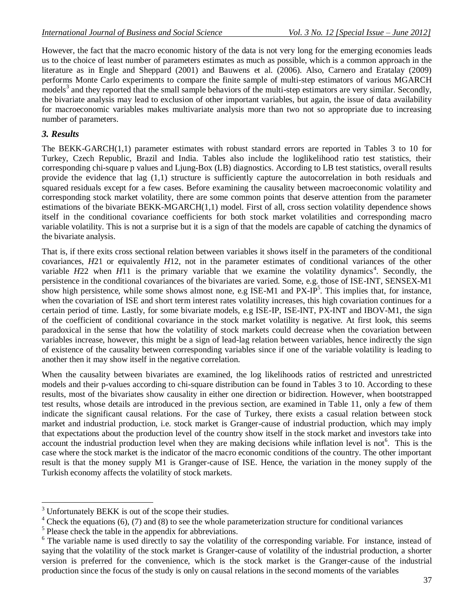However, the fact that the macro economic history of the data is not very long for the emerging economies leads us to the choice of least number of parameters estimates as much as possible, which is a common approach in the literature as in Engle and Sheppard (2001) and Bauwens et al. (2006). Also, Carnero and Eratalay (2009) performs Monte Carlo experiments to compare the finite sample of multi-step estimators of various MGARCH  $\frac{1}{2}$  models<sup>3</sup> and they reported that the small sample behaviors of the multi-step estimators are very similar. Secondly, the bivariate analysis may lead to exclusion of other important variables, but again, the issue of data availability for macroeconomic variables makes multivariate analysis more than two not so appropriate due to increasing number of parameters.

### *3. Results*

 $\overline{a}$ 

The BEKK-GARCH(1,1) parameter estimates with robust standard errors are reported in Tables 3 to 10 for Turkey, Czech Republic, Brazil and India. Tables also include the loglikelihood ratio test statistics, their corresponding chi-square p values and Ljung-Box (LB) diagnostics. According to LB test statistics, overall results provide the evidence that lag (1,1) structure is sufficiently capture the autocorrelation in both residuals and squared residuals except for a few cases. Before examining the causality between macroeconomic volatility and corresponding stock market volatility, there are some common points that deserve attention from the parameter estimations of the bivariate BEKK-MGARCH(1,1) model. First of all, cross section volatility dependence shows itself in the conditional covariance coefficients for both stock market volatilities and corresponding macro variable volatility. This is not a surprise but it is a sign of that the models are capable of catching the dynamics of the bivariate analysis.

That is, if there exits cross sectional relation between variables it shows itself in the parameters of the conditional covariances, *H*21 or equivalently *H*12, not in the parameter estimates of conditional variances of the other variable  $H22$  when  $H11$  is the primary variable that we examine the volatility dynamics<sup>4</sup>. Secondly, the persistence in the conditional covariances of the bivariates are varied. Some, e.g. those of ISE-INT, SENSEX-M1 show high persistence, while some shows almost none, e.g ISE-M1 and  $PX$ -IP<sup>5</sup>. This implies that, for instance, when the covariation of ISE and short term interest rates volatility increases, this high covariation continues for a certain period of time. Lastly, for some bivariate models, e.g ISE-IP, ISE-INT, PX-INT and IBOV-M1, the sign of the coefficient of conditional covariance in the stock market volatility is negative. At first look, this seems paradoxical in the sense that how the volatility of stock markets could decrease when the covariation between variables increase, however, this might be a sign of lead-lag relation between variables, hence indirectly the sign of existence of the causality between corresponding variables since if one of the variable volatility is leading to another then it may show itself in the negative correlation.

When the causality between bivariates are examined, the log likelihoods ratios of restricted and unrestricted models and their p-values according to chi-square distribution can be found in Tables 3 to 10. According to these results, most of the bivariates show causality in either one direction or bidirection. However, when bootstrapped test results, whose details are introduced in the previous section, are examined in Table 11, only a few of them indicate the significant causal relations. For the case of Turkey, there exists a casual relation between stock market and industrial production, i.e. stock market is Granger-cause of industrial production, which may imply that expectations about the production level of the country show itself in the stock market and investors take into account the industrial production level when they are making decisions while inflation level is not<sup>6</sup>. This is the case where the stock market is the indicator of the macro economic conditions of the country. The other important result is that the money supply M1 is Granger-cause of ISE. Hence, the variation in the money supply of the Turkish economy affects the volatility of stock markets.

 $3$  Unfortunately BEKK is out of the scope their studies.

 $4$  Check the equations (6), (7) and (8) to see the whole parameterization structure for conditional variances

 $<sup>5</sup>$  Please check the table in the appendix for abbreviations.</sup>

<sup>&</sup>lt;sup>6</sup> The variable name is used directly to say the volatility of the corresponding variable. For instance, instead of saying that the volatility of the stock market is Granger-cause of volatility of the industrial production, a shorter version is preferred for the convenience, which is the stock market is the Granger-cause of the industrial production since the focus of the study is only on causal relations in the second moments of the variables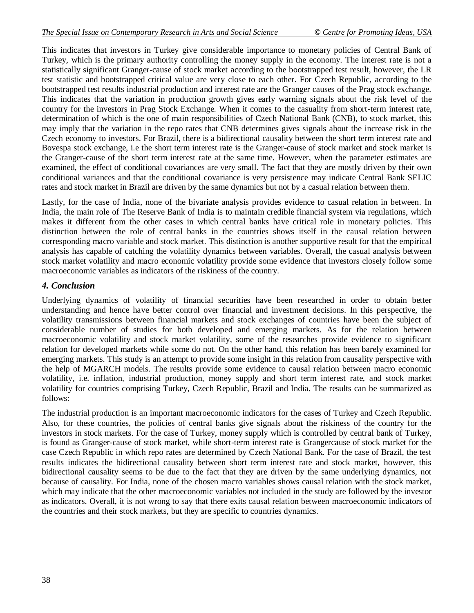This indicates that investors in Turkey give considerable importance to monetary policies of Central Bank of Turkey, which is the primary authority controlling the money supply in the economy. The interest rate is not a statistically significant Granger-cause of stock market according to the bootstrapped test result, however, the LR test statistic and bootstrapped critical value are very close to each other. For Czech Republic, according to the bootstrapped test results industrial production and interest rate are the Granger causes of the Prag stock exchange. This indicates that the variation in production growth gives early warning signals about the risk level of the country for the investors in Prag Stock Exchange. When it comes to the casuality from short-term interest rate, determination of which is the one of main responsibilities of Czech National Bank (CNB), to stock market, this may imply that the variation in the repo rates that CNB determines gives signals about the increase risk in the Czech economy to investors. For Brazil, there is a bidirectional causality between the short term interest rate and Bovespa stock exchange, i.e the short term interest rate is the Granger-cause of stock market and stock market is the Granger-cause of the short term interest rate at the same time. However, when the parameter estimates are examined, the effect of conditional covariances are very small. The fact that they are mostly driven by their own conditional variances and that the conditional covariance is very persistence may indicate Central Bank SELIC rates and stock market in Brazil are driven by the same dynamics but not by a casual relation between them.

Lastly, for the case of India, none of the bivariate analysis provides evidence to casual relation in between. In India, the main role of The Reserve Bank of India is to maintain credible financial system via regulations, which makes it different from the other cases in which central banks have critical role in monetary policies. This distinction between the role of central banks in the countries shows itself in the causal relation between corresponding macro variable and stock market. This distinction is another supportive result for that the empirical analysis has capable of catching the volatility dynamics between variables. Overall, the casual analysis between stock market volatility and macro economic volatility provide some evidence that investors closely follow some macroeconomic variables as indicators of the riskiness of the country.

# *4. Conclusion*

Underlying dynamics of volatility of financial securities have been researched in order to obtain better understanding and hence have better control over financial and investment decisions. In this perspective, the volatility transmissions between financial markets and stock exchanges of countries have been the subject of considerable number of studies for both developed and emerging markets. As for the relation between macroeconomic volatility and stock market volatility, some of the researches provide evidence to significant relation for developed markets while some do not. On the other hand, this relation has been barely examined for emerging markets. This study is an attempt to provide some insight in this relation from causality perspective with the help of MGARCH models. The results provide some evidence to causal relation between macro economic volatility, i.e. inflation, industrial production, money supply and short term interest rate, and stock market volatility for countries comprising Turkey, Czech Republic, Brazil and India. The results can be summarized as follows:

The industrial production is an important macroeconomic indicators for the cases of Turkey and Czech Republic. Also, for these countries, the policies of central banks give signals about the riskiness of the country for the investors in stock markets. For the case of Turkey, money supply which is controlled by central bank of Turkey, is found as Granger-cause of stock market, while short-term interest rate is Grangercause of stock market for the case Czech Republic in which repo rates are determined by Czech National Bank. For the case of Brazil, the test results indicates the bidirectional causality between short term interest rate and stock market, however, this bidirectional causality seems to be due to the fact that they are driven by the same underlying dynamics, not because of causality. For India, none of the chosen macro variables shows causal relation with the stock market, which may indicate that the other macroeconomic variables not included in the study are followed by the investor as indicators. Overall, it is not wrong to say that there exits causal relation between macroeconomic indicators of the countries and their stock markets, but they are specific to countries dynamics.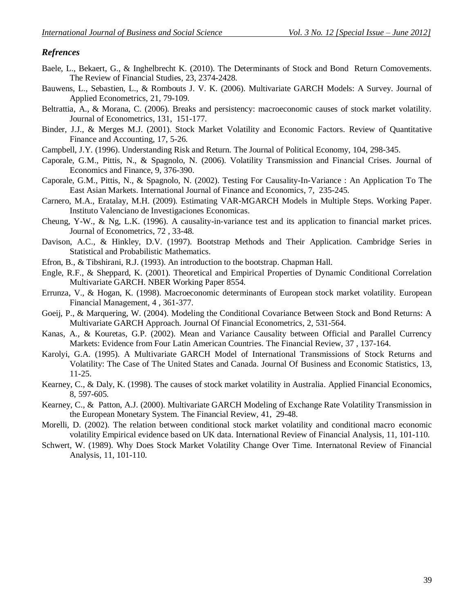### *Refrences*

- Baele, L., Bekaert, G., & Inghelbrecht K. (2010). The Determinants of Stock and Bond Return Comovements. The Review of Financial Studies, 23, 2374-2428.
- Bauwens, L., Sebastien, L., & Rombouts J. V. K. (2006). Multivariate GARCH Models: A Survey. Journal of Applied Econometrics, 21, 79-109.
- Beltrattia, A., & Morana, C. (2006). Breaks and persistency: macroeconomic causes of stock market volatility. Journal of Econometrics, 131, 151-177.
- Binder, J.J., & Merges M.J. (2001). Stock Market Volatility and Economic Factors. Review of Quantitative Finance and Accounting, 17, 5-26.
- Campbell, J.Y. (1996). Understanding Risk and Return. The Journal of Political Economy, 104, 298-345.
- Caporale, G.M., Pittis, N., & Spagnolo, N. (2006). Volatility Transmission and Financial Crises. Journal of Economics and Finance, 9, 376-390.
- Caporale, G.M., Pittis, N., & Spagnolo, N. (2002). Testing For Causality-In-Variance : An Application To The East Asian Markets. International Journal of Finance and Economics, 7, 235-245.
- Carnero, M.A., Eratalay, M.H. (2009). Estimating VAR-MGARCH Models in Multiple Steps. Working Paper. Instituto Valenciano de Investigaciones Economicas.
- Cheung, Y-W., & Ng, L.K. (1996). A causality-in-variance test and its application to financial market prices. Journal of Econometrics, 72 , 33-48.
- Davison, A.C., & Hinkley, D.V. (1997). Bootstrap Methods and Their Application. Cambridge Series in Statistical and Probabilistic Mathematics.
- Efron, B., & Tibshirani, R.J. (1993). An introduction to the bootstrap. Chapman Hall.
- Engle, R.F., & Sheppard, K. (2001). Theoretical and Empirical Properties of Dynamic Conditional Correlation Multivariate GARCH. NBER Working Paper 8554.
- Errunza, V., & Hogan, K. (1998). Macroeconomic determinants of European stock market volatility. European Financial Management, 4 , 361-377.
- Goeij, P., & Marquering, W. (2004). Modeling the Conditional Covariance Between Stock and Bond Returns: A Multivariate GARCH Approach. Journal Of Financial Econometrics, 2, 531-564.
- Kanas, A., & Kouretas, G.P. (2002). Mean and Variance Causality between Official and Parallel Currency Markets: Evidence from Four Latin American Countries. The Financial Review, 37 , 137-164.
- Karolyi, G.A. (1995). A Multivariate GARCH Model of International Transmissions of Stock Returns and Volatility: The Case of The United States and Canada. Journal Of Business and Economic Statistics, 13, 11-25.
- Kearney, C., & Daly, K. (1998). The causes of stock market volatility in Australia. Applied Financial Economics, 8, 597-605.
- Kearney, C., & Patton, A.J. (2000). Multivariate GARCH Modeling of Exchange Rate Volatility Transmission in the European Monetary System. The Financial Review, 41, 29-48.
- Morelli, D. (2002). The relation between conditional stock market volatility and conditional macro economic volatility Empirical evidence based on UK data. International Review of Financial Analysis, 11, 101-110.
- Schwert, W. (1989). Why Does Stock Market Volatility Change Over Time. Internatonal Review of Financial Analysis, 11, 101-110.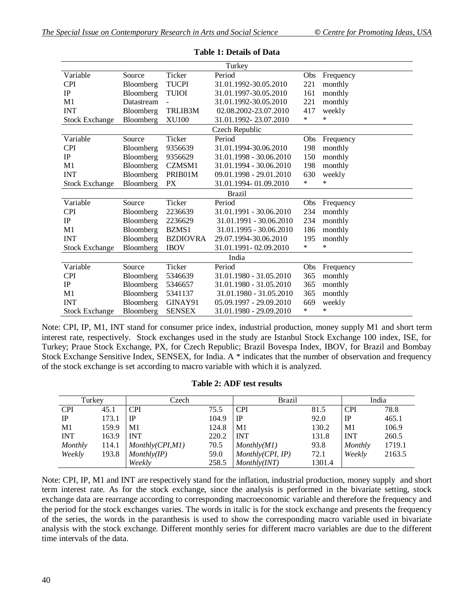| Turkey                |            |                 |                           |        |           |  |  |  |  |
|-----------------------|------------|-----------------|---------------------------|--------|-----------|--|--|--|--|
| Variable              | Source     | Ticker          | Period                    | Obs    | Frequency |  |  |  |  |
| <b>CPI</b>            | Bloomberg  | <b>TUCPI</b>    | 31.01.1992-30.05.2010     | 221    | monthly   |  |  |  |  |
| IP                    | Bloomberg  | <b>TUIOI</b>    | 31.01.1997-30.05.2010     | 161    | monthly   |  |  |  |  |
| M1                    | Datastream |                 | 31.01.1992-30.05.2010     | 221    | monthly   |  |  |  |  |
| <b>INT</b>            | Bloomberg  | TRLIB3M         | 02.08.2002-23.07.2010     | 417    | weekly    |  |  |  |  |
| <b>Stock Exchange</b> | Bloomberg  | <b>XU100</b>    | 31.01.1992-23.07.2010     | $\ast$ | *         |  |  |  |  |
|                       |            |                 | Czech Republic            |        |           |  |  |  |  |
| Variable              | Source     | Ticker          | Period                    | Obs    | Frequency |  |  |  |  |
| <b>CPI</b>            | Bloomberg  | 9356639         | 31.01.1994-30.06.2010     | 198    | monthly   |  |  |  |  |
| IP                    | Bloomberg  | 9356629         | 31.01.1998 - 30.06.2010   | 150    | monthly   |  |  |  |  |
| M1                    | Bloomberg  | CZMSM1          | 31.01.1994 - 30.06.2010   | 198    | monthly   |  |  |  |  |
| <b>INT</b>            | Bloomberg  | PRIB01M         | 09.01.1998 - 29.01.2010   | 630    | weekly    |  |  |  |  |
| <b>Stock Exchange</b> | Bloomberg  | <b>PX</b>       | 31.01.1994-01.09.2010     | $\ast$ | $\ast$    |  |  |  |  |
| <b>Brazil</b>         |            |                 |                           |        |           |  |  |  |  |
| Variable              | Source     | Ticker          | Period                    | Obs    | Frequency |  |  |  |  |
| <b>CPI</b>            | Bloomberg  | 2236639         | 31.01.1991 - 30.06.2010   | 234    | monthly   |  |  |  |  |
| IP                    | Bloomberg  | 2236629         | 31.01.1991 - 30.06.2010   | 234    | monthly   |  |  |  |  |
| M1                    | Bloomberg  | BZMS1           | 31.01.1995 - 30.06.2010   | 186    | monthly   |  |  |  |  |
| <b>INT</b>            | Bloomberg  | <b>BZDIOVRA</b> | 29.07.1994-30.06.2010     | 195    | monthly   |  |  |  |  |
| <b>Stock Exchange</b> | Bloomberg  | <b>IBOV</b>     | 31.01.1991 - 02.09.2010   | $\ast$ | *         |  |  |  |  |
|                       |            |                 | India                     |        |           |  |  |  |  |
| Variable              | Source     | Ticker          | Period                    | Obs    | Frequency |  |  |  |  |
| <b>CPI</b>            | Bloomberg  | 5346639         | 31.01.1980 - 31.05.2010   | 365    | monthly   |  |  |  |  |
| <b>IP</b>             | Bloomberg  | 5346657         | 31.01.1980 - 31.05.2010   | 365    | monthly   |  |  |  |  |
| M1                    | Bloomberg  | 5341137         | 31.01.1980 - 31.05.2010   | 365    | monthly   |  |  |  |  |
| <b>INT</b>            | Bloomberg  | GINAY91         | $05.09.1997 - 29.09.2010$ | 669    | weekly    |  |  |  |  |
| <b>Stock Exchange</b> | Bloomberg  | <b>SENSEX</b>   | 31.01.1980 - 29.09.2010   | $\ast$ | $\ast$    |  |  |  |  |

**Table 1: Details of Data** 

Note: CPI, IP, M1, INT stand for consumer price index, industrial production, money supply M1 and short term interest rate, respectively. Stock exchanges used in the study are Istanbul Stock Exchange 100 index, ISE, for Turkey; Praue Stock Exchange, PX, for Czech Republic; Brazil Bovespa Index, IBOV, for Brazil and Bombay Stock Exchange Sensitive Index, SENSEX, for India. A \* indicates that the number of observation and frequency of the stock exchange is set according to macro variable with which it is analyzed.

### **Table 2: ADF test results**

| Turkey     |       | Czech            |       | Brazil           |        |            | India  |
|------------|-------|------------------|-------|------------------|--------|------------|--------|
| <b>CPI</b> | 45.1  | <b>CPI</b>       | 75.5  | <b>CPI</b>       | 81.5   | <b>CPI</b> | 78.8   |
| IP         | 173.1 | IP               | 104.9 | . IP             | 92.0   | IP         | 465.1  |
| M1         | 159.9 | M1               | 124.8 | M1               | 130.2  | M1         | 106.9  |
| <b>INT</b> | 163.9 | <b>INT</b>       | 220.2 | <b>INT</b>       | 131.8  | <b>INT</b> | 260.5  |
| Monthly    | 114.1 | Monthly(CPI, M1) | 70.5  | Monthly(M1)      | 93.8   | Monthly    | 1719.1 |
| Weekly     | 193.8 | Monthly/IP)      | 59.0  | Monthly(CPI, IP) | 72.1   | Weekly     | 2163.5 |
|            |       | Weekly           | 258.5 | Monthly(INT)     | 1301.4 |            |        |

Note: CPI, IP, M1 and INT are respectively stand for the inflation, industrial production, money supply and short term interest rate. As for the stock exchange, since the analysis is performed in the bivariate setting, stock exchange data are rearrange according to corresponding macroeconomic variable and therefore the frequency and the period for the stock exchanges varies. The words in italic is for the stock exchange and presents the frequency of the series, the words in the paranthesis is used to show the corresponding macro variable used in bivariate analysis with the stock exchange. Different monthly series for different macro variables are due to the different time intervals of the data.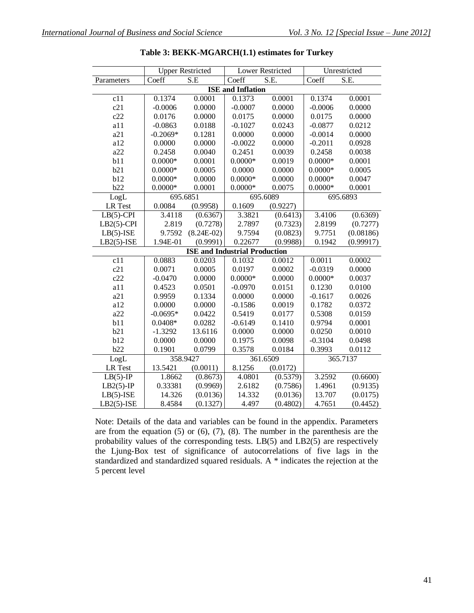|                          | <b>Upper Restricted</b> |              | <b>Lower Restricted</b> |                          | Unrestricted |           |  |  |
|--------------------------|-------------------------|--------------|-------------------------|--------------------------|--------------|-----------|--|--|
| Parameters               | Coeff                   | S.E          | Coeff                   | $\overline{\text{S.E.}}$ | Coeff        | S.E.      |  |  |
| <b>ISE</b> and Inflation |                         |              |                         |                          |              |           |  |  |
| c11                      | 0.1374                  | 0.0001       | 0.1373                  | 0.0001                   | 0.1374       | 0.0001    |  |  |
| c21                      | $-0.0006$               | 0.0000       | $-0.0007$               | 0.0000                   | $-0.0006$    | 0.0000    |  |  |
| c22                      | 0.0176                  | 0.0000       | 0.0175                  | 0.0000                   | 0.0175       | 0.0000    |  |  |
| a11                      | $-0.0863$               | 0.0188       | $-0.1027$               | 0.0243                   | $-0.0877$    | 0.0212    |  |  |
| a21                      | $-0.2069*$              | 0.1281       | 0.0000                  | 0.0000                   | $-0.0014$    | 0.0000    |  |  |
| a12                      | 0.0000                  | 0.0000       | $-0.0022$               | 0.0000                   | $-0.2011$    | 0.0928    |  |  |
| a22                      | 0.2458                  | 0.0040       | 0.2451                  | 0.0039                   | 0.2458       | 0.0038    |  |  |
| b11                      | $0.0000*$               | 0.0001       | $0.0000*$               | 0.0019                   | $0.0000*$    | 0.0001    |  |  |
| b21                      | $0.0000*$               | 0.0005       | 0.0000                  | 0.0000                   | $0.0000*$    | 0.0005    |  |  |
| b12                      | $0.0000*$               | 0.0000       | $0.0000*$               | 0.0000                   | $0.0000*$    | 0.0047    |  |  |
| b22                      | $0.0000*$               | 0.0001       | $0.0000*$               | 0.0075                   | $0.0000*$    | 0.0001    |  |  |
| LogL                     | 695.6851                |              |                         | 695.6089                 |              | 695.6893  |  |  |
| <b>LR</b> Test           | 0.0084                  | (0.9958)     | 0.1609                  | (0.9227)                 |              |           |  |  |
| $LB(5)-CPI$              | 3.4118                  | (0.6367)     | 3.3821                  | (0.6413)                 | 3.4106       | (0.6369)  |  |  |
| $LB2(5)-CPI$             | 2.819                   | (0.7278)     | 2.7897                  | (0.7323)                 | 2.8199       | (0.7277)  |  |  |
| $LB(5)-ISE$              | 9.7592                  | $(8.24E-02)$ | 9.7594                  | (0.0823)                 | 9.7751       | (0.08186) |  |  |
| $LB2(5)$ -ISE            | 1.94E-01                | (0.9991)     | 0.22677                 | (0.9988)                 | 0.1942       | (0.99917) |  |  |
|                          |                         |              |                         |                          |              |           |  |  |
| c11                      | 0.0883                  | 0.0203       | 0.1032                  | 0.0012                   | 0.0011       | 0.0002    |  |  |
| c21                      | 0.0071                  | 0.0005       | 0.0197                  | 0.0002                   | $-0.0319$    | 0.0000    |  |  |
| c22                      | $-0.0470$               | 0.0000       | $0.0000*$               | 0.0000                   | $0.0000*$    | 0.0037    |  |  |
| a11                      | 0.4523                  | 0.0501       | $-0.0970$               | 0.0151                   | 0.1230       | 0.0100    |  |  |
| a21                      | 0.9959                  | 0.1334       | 0.0000                  | 0.0000                   | $-0.1617$    | 0.0026    |  |  |
| a12                      | 0.0000                  | 0.0000       | $-0.1586$               | 0.0019                   | 0.1782       | 0.0372    |  |  |
| a22                      | $-0.0695*$              | 0.0422       | 0.5419                  | 0.0177                   | 0.5308       | 0.0159    |  |  |
| b11                      | $0.0408*$               | 0.0282       | $-0.6149$               | 0.1410                   | 0.9794       | 0.0001    |  |  |
| b21                      | $-1.3292$               | 13.6116      | 0.0000                  | 0.0000                   | 0.0250       | 0.0010    |  |  |
| b12                      | 0.0000                  | 0.0000       | 0.1975                  | 0.0098                   | $-0.3104$    | 0.0498    |  |  |
| b22                      | 0.1901                  | 0.0799       | 0.3578                  | 0.0184                   | 0.3993       | 0.0112    |  |  |
| LogL                     | 358.9427                |              | 361.6509                |                          | 365.7137     |           |  |  |
| <b>LR</b> Test           | 13.5421                 | (0.0011)     | 8.1256                  | (0.0172)                 |              |           |  |  |
| $LB(5)-IP$               | 1.8662                  | (0.8673)     | 4.0801                  | (0.5379)                 | 3.2592       | (0.6600)  |  |  |
| $LB2(5)-IP$              | 0.33381                 | (0.9969)     | 2.6182                  | (0.7586)                 | 1.4961       | (0.9135)  |  |  |
| $LB(5)-ISE$              | 14.326                  | (0.0136)     | 14.332                  | (0.0136)                 | 13.707       | (0.0175)  |  |  |
| $LB2(5)$ -ISE            | 8.4584                  | (0.1327)     | 4.497                   | (0.4802)                 | 4.7651       | (0.4452)  |  |  |

**Table 3: BEKK-MGARCH(1.1) estimates for Turkey**

Note: Details of the data and variables can be found in the appendix. Parameters are from the equation  $(5)$  or  $(6)$ ,  $(7)$ ,  $(8)$ . The number in the parenthesis are the probability values of the corresponding tests. LB(5) and LB2(5) are respectively the Ljung-Box test of significance of autocorrelations of five lags in the standardized and standardized squared residuals. A \* indicates the rejection at the 5 percent level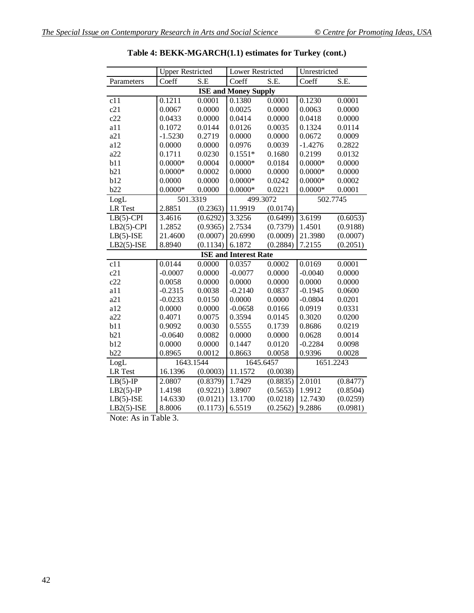|                | <b>Upper Restricted</b>      |                      | <b>Lower Restricted</b>     |          | Unrestricted |                          |
|----------------|------------------------------|----------------------|-----------------------------|----------|--------------|--------------------------|
| Parameters     | Coeff                        | S.E                  | Coeff                       | S.E.     | Coeff        | $\overline{\text{S.E.}}$ |
|                |                              |                      | <b>ISE and Money Supply</b> |          |              |                          |
| c11            | 0.1211                       | 0.0001               | 0.1380                      | 0.0001   | 0.1230       | 0.0001                   |
| c21            | 0.0067                       | 0.0000               | 0.0025                      | 0.0000   | 0.0063       | 0.0000                   |
| c22            | 0.0433                       | 0.0000               | 0.0414                      | 0.0000   | 0.0418       | 0.0000                   |
| a11            | 0.1072                       | 0.0144               | 0.0126                      | 0.0035   | 0.1324       | 0.0114                   |
| a21            | $-1.5230$                    | 0.2719               | 0.0000                      | 0.0000   | 0.0672       | 0.0009                   |
| a12            | 0.0000                       | 0.0000               | 0.0976                      | 0.0039   | $-1.4276$    | 0.2822                   |
| a22            | 0.1711                       | 0.0230               | $0.1551*$                   | 0.1680   | 0.2199       | 0.0132                   |
| b11            | $0.0000*$                    | 0.0004               | $0.0000*$                   | 0.0184   | $0.0000*$    | 0.0000                   |
| b21            | $0.0000*$                    | 0.0002               | 0.0000                      | 0.0000   | $0.0000*$    | 0.0000                   |
| b12            | 0.0000                       | 0.0000               | $0.0000*$                   | 0.0242   | $0.0000*$    | 0.0002                   |
| b22            | $0.0000*$                    | 0.0000               | $0.0000*$                   | 0.0221   | $0.0000*$    | 0.0001                   |
| LogL           | 501.3319                     |                      | 499.3072                    |          | 502.7745     |                          |
| <b>LR</b> Test | 2.8851                       | (0.2363)             | 11.9919                     | (0.0174) |              |                          |
| $LB(5)-CPI$    | 3.4616                       | (0.6292)             | 3.3256                      | (0.6499) | 3.6199       | (0.6053)                 |
| $LB2(5)$ -CPI  | 1.2852                       | (0.9365)             | 2.7534                      | (0.7379) | 1.4501       | (0.9188)                 |
| $LB(5)-ISE$    | 21.4600                      | (0.0007)             | 20.6990                     | (0.0009) | 21.3980      | (0.0007)                 |
| $LB2(5)$ -ISE  | 8.8940                       | (0.1134)             | 6.1872                      | (0.2884) | 7.2155       | (0.2051)                 |
|                | <b>ISE and Interest Rate</b> |                      |                             |          |              |                          |
| c11            | 0.0144                       | 0.0000               | 0.0357                      | 0.0002   | 0.0169       | 0.0001                   |
| c21            | $-0.0007$                    | 0.0000               | $-0.0077$                   | 0.0000   | $-0.0040$    | 0.0000                   |
| c22            | 0.0058                       | 0.0000               | 0.0000                      | 0.0000   | 0.0000       | 0.0000                   |
| a11            | $-0.2315$                    | 0.0038               | $-0.2140$                   | 0.0837   | $-0.1945$    | 0.0600                   |
| a21            | $-0.0233$                    | 0.0150               | 0.0000                      | 0.0000   | $-0.0804$    | 0.0201                   |
| a12            | 0.0000                       | 0.0000               | $-0.0658$                   | 0.0166   | 0.0919       | 0.0331                   |
| a22            | 0.4071                       | 0.0075               | 0.3594                      | 0.0145   | 0.3020       | 0.0200                   |
| b11            | 0.9092                       | 0.0030               | 0.5555                      | 0.1739   | 0.8686       | 0.0219                   |
| b21            | $-0.0640$                    | 0.0082               | 0.0000                      | 0.0000   | 0.0628       | 0.0014                   |
| b12            | 0.0000                       | 0.0000               | 0.1447                      | 0.0120   | $-0.2284$    | 0.0098                   |
| b22            | 0.8965                       | 0.0012               | 0.8663                      | 0.0058   | 0.9396       | 0.0028                   |
| LogL           | 1643.1544                    |                      | 1645.6457                   |          | 1651.2243    |                          |
| <b>LR</b> Test | 16.1396                      | (0.0003)             | 11.1572                     | (0.0038) |              |                          |
| $LB(5)-IP$     | 2.0807                       | (0.8379)             | 1.7429                      | (0.8835) | 2.0101       | (0.8477)                 |
| $LB2(5)-IP$    | 1.4198                       | (0.9221)             | 3.8907                      | (0.5653) | 1.9912       | (0.8504)                 |
| $LB(5)-ISE$    |                              |                      | 13.1700                     | (0.0218) | 12.7430      | (0.0259)                 |
| $LB2(5)-ISE$   | 14.6330<br>8.8006            | (0.0121)<br>(0.1173) | 6.5519                      | (0.2562) | 9.2886       | (0.0981)                 |

**Table 4: BEKK-MGARCH(1.1) estimates for Turkey (cont.)**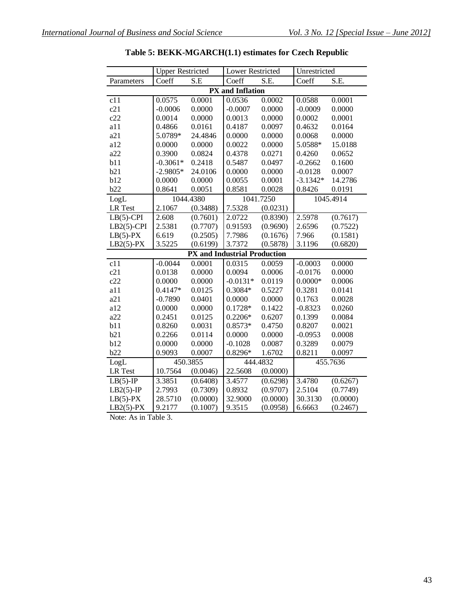|                         | <b>Upper Restricted</b> |                                     | Lower Restricted |           | Unrestricted        |           |  |  |  |  |
|-------------------------|-------------------------|-------------------------------------|------------------|-----------|---------------------|-----------|--|--|--|--|
| Parameters              | Coeff                   | S.E                                 | Coeff            | S.E.      | Coeff               | S.E.      |  |  |  |  |
| <b>PX</b> and Inflation |                         |                                     |                  |           |                     |           |  |  |  |  |
| c11                     | 0.0575                  | 0.0001                              | 0.0536           | 0.0002    | 0.0588              | 0.0001    |  |  |  |  |
| c21                     | $-0.0006$               | 0.0000                              | $-0.0007$        | 0.0000    | $-0.0009$           | 0.0000    |  |  |  |  |
| c22                     | 0.0014                  | 0.0000                              | 0.0013           | 0.0000    | 0.0002              | 0.0001    |  |  |  |  |
| a11                     | 0.4866                  | 0.0161                              | 0.4187           | 0.0097    | 0.4632              | 0.0164    |  |  |  |  |
| a21                     | 5.0789*                 | 24.4846                             | 0.0000           | 0.0000    | 0.0068              | 0.0000    |  |  |  |  |
| a12                     | 0.0000                  | 0.0000                              | 0.0022           | 0.0000    | 5.0588*             | 15.0188   |  |  |  |  |
| a22                     | 0.3900                  | 0.0824                              | 0.4378           | 0.0271    | 0.4260              | 0.0652    |  |  |  |  |
| b11                     | $-0.3061*$              | 0.2418                              | 0.5487           | 0.0497    | $-0.2662$           | 0.1600    |  |  |  |  |
| b21                     | $-2.9805*$              | 24.0106                             | 0.0000           | 0.0000    | $-0.0128$           | 0.0007    |  |  |  |  |
| b12                     | 0.0000                  | 0.0000                              | 0.0055           | 0.0001    | $-3.1342*$          | 14.2786   |  |  |  |  |
| b22                     | 0.8641                  | 0.0051                              | 0.8581           | 0.0028    | 0.8426              | 0.0191    |  |  |  |  |
| LogL                    |                         | 1044.4380                           |                  | 1041.7250 |                     | 1045.4914 |  |  |  |  |
| LR Test                 | 2.1067                  | (0.3488)                            | 7.5328           | (0.0231)  |                     |           |  |  |  |  |
| $LB(5)-CPI$             | 2.608                   | (0.7601)                            | 2.0722           | (0.8390)  | 2.5978              | (0.7617)  |  |  |  |  |
| $LB2(5)-CPI$            | 2.5381                  | (0.7707)                            | 0.91593          | (0.9690)  | 2.6596              | (0.7522)  |  |  |  |  |
| $LB(5)-PX$              | 6.619                   | (0.2505)                            | 7.7986           | (0.1676)  | 7.966               | (0.1581)  |  |  |  |  |
| $LB2(5)-PX$             | 3.5225                  | (0.6199)                            | 3.7372           | (0.5878)  | 3.1196              | (0.6820)  |  |  |  |  |
|                         |                         | <b>PX</b> and Industrial Production |                  |           |                     |           |  |  |  |  |
| c11                     | $-0.0044$               | 0.0001                              | 0.0315           | 0.0059    | $-0.0003$           | 0.0000    |  |  |  |  |
| c21                     | 0.0138                  | 0.0000                              | 0.0094           | 0.0006    | $-0.0176$           | 0.0000    |  |  |  |  |
| c22                     | 0.0000                  | 0.0000                              | $-0.0131*$       | 0.0119    | $0.0000*$           | 0.0006    |  |  |  |  |
| a11                     | $0.4147*$               | 0.0125                              | 0.3084*          | 0.5227    | 0.3281              | 0.0141    |  |  |  |  |
| a21                     | $-0.7890$               | 0.0401                              | 0.0000           | 0.0000    | 0.1763              | 0.0028    |  |  |  |  |
| a12                     | 0.0000                  | 0.0000                              | $0.1728*$        | 0.1422    | $-0.8323$           | 0.0260    |  |  |  |  |
| a22                     | 0.2451                  | 0.0125                              | $0.2206*$        | 0.6207    | 0.1399              | 0.0084    |  |  |  |  |
| b11                     | 0.8260                  | 0.0031                              | 0.8573*          | 0.4750    | 0.8207              | 0.0021    |  |  |  |  |
| b21                     | 0.2266                  | 0.0114                              | 0.0000           | 0.0000    |                     | 0.0008    |  |  |  |  |
| b12                     | 0.0000                  | 0.0000                              | $-0.1028$        | 0.0087    |                     | 0.0079    |  |  |  |  |
| b22                     | 0.9093                  | 0.0007                              | 0.8296*          | 1.6702    | 0.8211              | 0.0097    |  |  |  |  |
| LogL                    |                         | 450.3855                            |                  | 444.4832  | 455.7636            |           |  |  |  |  |
| <b>LR</b> Test          | 10.7564                 | (0.0046)                            | 22.5608          | (0.0000)  |                     |           |  |  |  |  |
| $LB(5)-IP$              | 3.3851                  | (0.6408)                            | 3.4577           | (0.6298)  | 3.4780              | (0.6267)  |  |  |  |  |
| $LB2(5)-IP$             | 2.7993                  | (0.7309)                            | 0.8932           | (0.9707)  | 2.5104              | (0.7749)  |  |  |  |  |
| $LB(5)-PX$              | 28.5710                 | (0.0000)                            | 32.9000          | (0.0000)  | 30.3130             | (0.0000)  |  |  |  |  |
| $LB2(5)-PX$             | 9.2177                  | (0.1007)                            | 9.3515           | (0.0958)  | 6.6663              | (0.2467)  |  |  |  |  |
|                         |                         |                                     |                  |           | $-0.0953$<br>0.3289 |           |  |  |  |  |

**Table 5: BEKK-MGARCH(1.1) estimates for Czech Republic**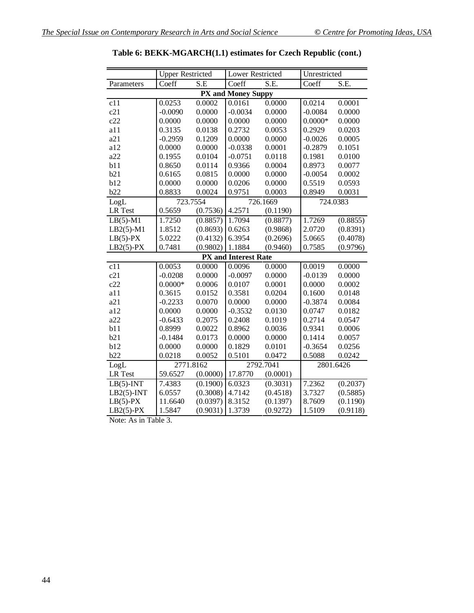|                    | <b>Upper Restricted</b> |          | <b>Lower Restricted</b>     |          |           | Unrestricted |  |  |
|--------------------|-------------------------|----------|-----------------------------|----------|-----------|--------------|--|--|
| Parameters         | Coeff                   | S.E      | Coeff                       | S.E.     | Coeff     | S.E.         |  |  |
| PX and Money Suppy |                         |          |                             |          |           |              |  |  |
| c11                | 0.0253                  | 0.0002   | 0.0161                      | 0.0000   | 0.0214    | 0.0001       |  |  |
| c21                | $-0.0090$               | 0.0000   | $-0.0034$                   | 0.0000   | $-0.0084$ | 0.0000       |  |  |
| c22                | 0.0000                  | 0.0000   | 0.0000                      | 0.0000   | $0.0000*$ | 0.0000       |  |  |
| a11                | 0.3135                  | 0.0138   | 0.2732                      | 0.0053   | 0.2929    | 0.0203       |  |  |
| a21                | $-0.2959$               | 0.1209   | 0.0000                      | 0.0000   | $-0.0026$ | 0.0005       |  |  |
| a12                | 0.0000                  | 0.0000   | $-0.0338$                   | 0.0001   | $-0.2879$ | 0.1051       |  |  |
| a22                | 0.1955                  | 0.0104   | $-0.0751$                   | 0.0118   | 0.1981    | 0.0100       |  |  |
| b11                | 0.8650                  | 0.0114   | 0.9366                      | 0.0004   | 0.8973    | 0.0077       |  |  |
| b21                | 0.6165                  | 0.0815   | 0.0000                      | 0.0000   | $-0.0054$ | 0.0002       |  |  |
| b12                | 0.0000                  | 0.0000   | 0.0206                      | 0.0000   | 0.5519    | 0.0593       |  |  |
| b22                | 0.8833                  | 0.0024   | 0.9751                      | 0.0003   | 0.8949    | 0.0031       |  |  |
| LogL               |                         | 723.7554 |                             | 726.1669 |           | 724.0383     |  |  |
| <b>LR</b> Test     | 0.5659                  | (0.7536) | 4.2571                      | (0.1190) |           |              |  |  |
| $LB(5)-M1$         | 1.7250                  | (0.8857) | 1.7094                      | (0.8877) | 1.7269    | (0.8855)     |  |  |
| $LB2(5)-M1$        | 1.8512                  | (0.8693) | 0.6263                      | (0.9868) | 2.0720    | (0.8391)     |  |  |
| $LB(5)-PX$         | 5.0222                  | (0.4132) | 6.3954                      | (0.2696) | 5.0665    | (0.4078)     |  |  |
| $LB2(5)-PX$        | 0.7481                  | (0.9802) | 1.1884                      | (0.9460) | 0.7585    | (0.9796)     |  |  |
|                    |                         |          | <b>PX</b> and Interest Rate |          |           |              |  |  |
| c11                | 0.0053                  | 0.0000   | 0.0096                      | 0.0000   | 0.0019    | 0.0000       |  |  |
| c21                | $-0.0208$               | 0.0000   | $-0.0097$                   | 0.0000   | $-0.0139$ | 0.0000       |  |  |
| c22                | $0.0000*$               | 0.0006   | 0.0107                      | 0.0001   | 0.0000    | 0.0002       |  |  |
| a11                | 0.3615                  | 0.0152   | 0.3581                      | 0.0204   | 0.1600    | 0.0148       |  |  |
| a21                | $-0.2233$               | 0.0070   | 0.0000                      | 0.0000   | $-0.3874$ | 0.0084       |  |  |
| a12                | 0.0000                  | 0.0000   | $-0.3532$                   | 0.0130   | 0.0747    | 0.0182       |  |  |
| a22                | $-0.6433$               | 0.2075   | 0.2408                      | 0.1019   | 0.2714    | 0.0547       |  |  |
| b11                | 0.8999                  | 0.0022   | 0.8962                      | 0.0036   | 0.9341    | 0.0006       |  |  |
| b21                | $-0.1484$               | 0.0173   | 0.0000                      | 0.0000   | 0.1414    | 0.0057       |  |  |
| b12                | 0.0000                  | 0.0000   | 0.1829                      | 0.0101   | $-0.3654$ | 0.0256       |  |  |
| b22                | 0.0218                  | 0.0052   | 0.5101                      | 0.0472   | 0.5088    | 0.0242       |  |  |
| LogL               | 2771.8162               |          | 2792.7041                   |          |           | 2801.6426    |  |  |
| LR Test            | 59.6527                 | (0.0000) | 17.8770                     | (0.0001) |           |              |  |  |
| $LB(5)-INT$        | 7.4383                  | (0.1900) | 6.0323                      | (0.3031) | 7.2362    | (0.2037)     |  |  |
| $LB2(5)$ -INT      | 6.0557                  | (0.3008) | 4.7142                      | (0.4518) | 3.7327    | (0.5885)     |  |  |
| $LB(5)-PX$         | 11.6640                 | (0.0397) | 8.3152                      | (0.1397) | 8.7609    | (0.1190)     |  |  |
| $LB2(5)-PX$        | 1.5847                  | (0.9031) | 1.3739                      | (0.9272) | 1.5109    | (0.9118)     |  |  |
|                    | Note: As in Table 3.    |          |                             |          |           |              |  |  |

**Table 6: BEKK-MGARCH(1.1) estimates for Czech Republic (cont.)**

44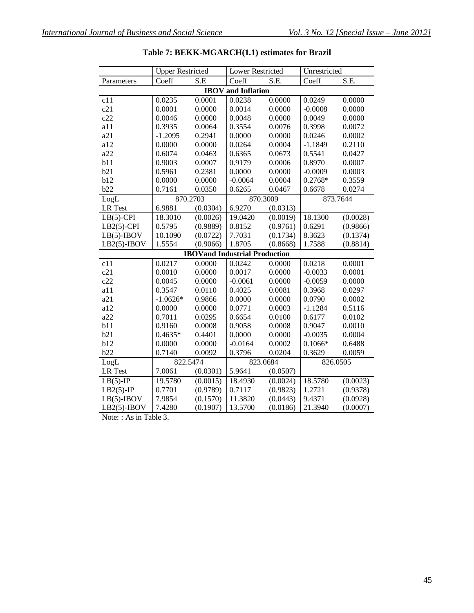| Coeff<br>S.E<br>Coeff<br>S.E.<br>Coeff<br>S.E.<br>Parameters<br><b>IBOV</b> and Inflation<br>0.0000<br>c11<br>0.0235<br>0.0001<br>0.0238<br>0.0249<br>0.0000<br>c21<br>0.0001<br>0.0000<br>0.0014<br>0.0000<br>$-0.0008$<br>0.0000<br>c22<br>0.0046<br>0.0000<br>0.0048<br>0.0000<br>0.0049<br>0.0000<br>a11<br>0.0064<br>0.3554<br>0.3935<br>0.0076<br>0.3998<br>0.0072<br>a21<br>0.2941<br>0.0000<br>0.0000<br>0.0246<br>$-1.2095$<br>0.0002<br>a12<br>0.0000<br>0.0000<br>0.0264<br>0.0004<br>$-1.1849$<br>0.2110<br>a22<br>0.6074<br>0.6365<br>0.0673<br>0.5541<br>0.0427<br>0.0463<br>b11<br>0.9003<br>0.0007<br>0.9179<br>0.0006<br>0.8970<br>0.0007<br>b21<br>0.5961<br>0.2381<br>0.0000<br>0.0000<br>$-0.0009$<br>0.0003<br>b12<br>0.0000<br>0.0000<br>$-0.0064$<br>0.0004<br>0.2768*<br>0.3559<br>b22<br>0.7161<br>0.0350<br>0.6265<br>0.0467<br>0.6678<br>0.0274<br>LogL<br>870.2703<br>870.3009<br>873.7644<br>6.9881<br><b>LR</b> Test<br>(0.0304)<br>6.9270<br>(0.0313)<br>18.3010<br>(0.0026)<br>$LB(5)-CPI$<br>19.0420<br>(0.0019)<br>18.1300<br>(0.0028)<br>$LB2(5)-CPI$<br>0.5795<br>(0.9889)<br>0.8152<br>(0.9761)<br>0.6291<br>(0.9866)<br>$LB(5)$ -IBOV<br>10.1090<br>(0.0722)<br>7.7031<br>(0.1734)<br>8.3623<br>(0.1374)<br>$LB2(5)-IBOV$<br>1.5554<br>(0.9066)<br>1.8705<br>1.7588<br>(0.8814)<br>(0.8668)<br><b>IBOVand Industrial Production</b><br>0.0217<br>0.0218<br>c11<br>0.0000<br>0.0242<br>0.0001<br>0.0000<br>c21<br>0.0010<br>0.0000<br>0.0017<br>0.0000<br>$-0.0033$<br>0.0001<br>c22<br>0.0045<br>0.0000<br>$-0.0061$<br>0.0000<br>$-0.0059$<br>0.0000<br>a11<br>0.3547<br>0.0110<br>0.4025<br>0.0081<br>0.3968<br>0.0297<br>a21<br>$-1.0626*$<br>0.9866<br>0.0000<br>0.0000<br>0.0790<br>0.0002<br>a12<br>0.0771<br>0.0003<br>0.5116<br>0.0000<br>0.0000<br>$-1.1284$<br>a22<br>0.7011<br>0.0295<br>0.6654<br>0.0100<br>0.6177<br>0.0102 |
|--------------------------------------------------------------------------------------------------------------------------------------------------------------------------------------------------------------------------------------------------------------------------------------------------------------------------------------------------------------------------------------------------------------------------------------------------------------------------------------------------------------------------------------------------------------------------------------------------------------------------------------------------------------------------------------------------------------------------------------------------------------------------------------------------------------------------------------------------------------------------------------------------------------------------------------------------------------------------------------------------------------------------------------------------------------------------------------------------------------------------------------------------------------------------------------------------------------------------------------------------------------------------------------------------------------------------------------------------------------------------------------------------------------------------------------------------------------------------------------------------------------------------------------------------------------------------------------------------------------------------------------------------------------------------------------------------------------------------------------------------------------------------------------------------------------------------------------------------------------------------------|
|                                                                                                                                                                                                                                                                                                                                                                                                                                                                                                                                                                                                                                                                                                                                                                                                                                                                                                                                                                                                                                                                                                                                                                                                                                                                                                                                                                                                                                                                                                                                                                                                                                                                                                                                                                                                                                                                                |
|                                                                                                                                                                                                                                                                                                                                                                                                                                                                                                                                                                                                                                                                                                                                                                                                                                                                                                                                                                                                                                                                                                                                                                                                                                                                                                                                                                                                                                                                                                                                                                                                                                                                                                                                                                                                                                                                                |
|                                                                                                                                                                                                                                                                                                                                                                                                                                                                                                                                                                                                                                                                                                                                                                                                                                                                                                                                                                                                                                                                                                                                                                                                                                                                                                                                                                                                                                                                                                                                                                                                                                                                                                                                                                                                                                                                                |
|                                                                                                                                                                                                                                                                                                                                                                                                                                                                                                                                                                                                                                                                                                                                                                                                                                                                                                                                                                                                                                                                                                                                                                                                                                                                                                                                                                                                                                                                                                                                                                                                                                                                                                                                                                                                                                                                                |
|                                                                                                                                                                                                                                                                                                                                                                                                                                                                                                                                                                                                                                                                                                                                                                                                                                                                                                                                                                                                                                                                                                                                                                                                                                                                                                                                                                                                                                                                                                                                                                                                                                                                                                                                                                                                                                                                                |
|                                                                                                                                                                                                                                                                                                                                                                                                                                                                                                                                                                                                                                                                                                                                                                                                                                                                                                                                                                                                                                                                                                                                                                                                                                                                                                                                                                                                                                                                                                                                                                                                                                                                                                                                                                                                                                                                                |
|                                                                                                                                                                                                                                                                                                                                                                                                                                                                                                                                                                                                                                                                                                                                                                                                                                                                                                                                                                                                                                                                                                                                                                                                                                                                                                                                                                                                                                                                                                                                                                                                                                                                                                                                                                                                                                                                                |
|                                                                                                                                                                                                                                                                                                                                                                                                                                                                                                                                                                                                                                                                                                                                                                                                                                                                                                                                                                                                                                                                                                                                                                                                                                                                                                                                                                                                                                                                                                                                                                                                                                                                                                                                                                                                                                                                                |
|                                                                                                                                                                                                                                                                                                                                                                                                                                                                                                                                                                                                                                                                                                                                                                                                                                                                                                                                                                                                                                                                                                                                                                                                                                                                                                                                                                                                                                                                                                                                                                                                                                                                                                                                                                                                                                                                                |
|                                                                                                                                                                                                                                                                                                                                                                                                                                                                                                                                                                                                                                                                                                                                                                                                                                                                                                                                                                                                                                                                                                                                                                                                                                                                                                                                                                                                                                                                                                                                                                                                                                                                                                                                                                                                                                                                                |
|                                                                                                                                                                                                                                                                                                                                                                                                                                                                                                                                                                                                                                                                                                                                                                                                                                                                                                                                                                                                                                                                                                                                                                                                                                                                                                                                                                                                                                                                                                                                                                                                                                                                                                                                                                                                                                                                                |
|                                                                                                                                                                                                                                                                                                                                                                                                                                                                                                                                                                                                                                                                                                                                                                                                                                                                                                                                                                                                                                                                                                                                                                                                                                                                                                                                                                                                                                                                                                                                                                                                                                                                                                                                                                                                                                                                                |
|                                                                                                                                                                                                                                                                                                                                                                                                                                                                                                                                                                                                                                                                                                                                                                                                                                                                                                                                                                                                                                                                                                                                                                                                                                                                                                                                                                                                                                                                                                                                                                                                                                                                                                                                                                                                                                                                                |
|                                                                                                                                                                                                                                                                                                                                                                                                                                                                                                                                                                                                                                                                                                                                                                                                                                                                                                                                                                                                                                                                                                                                                                                                                                                                                                                                                                                                                                                                                                                                                                                                                                                                                                                                                                                                                                                                                |
|                                                                                                                                                                                                                                                                                                                                                                                                                                                                                                                                                                                                                                                                                                                                                                                                                                                                                                                                                                                                                                                                                                                                                                                                                                                                                                                                                                                                                                                                                                                                                                                                                                                                                                                                                                                                                                                                                |
|                                                                                                                                                                                                                                                                                                                                                                                                                                                                                                                                                                                                                                                                                                                                                                                                                                                                                                                                                                                                                                                                                                                                                                                                                                                                                                                                                                                                                                                                                                                                                                                                                                                                                                                                                                                                                                                                                |
|                                                                                                                                                                                                                                                                                                                                                                                                                                                                                                                                                                                                                                                                                                                                                                                                                                                                                                                                                                                                                                                                                                                                                                                                                                                                                                                                                                                                                                                                                                                                                                                                                                                                                                                                                                                                                                                                                |
|                                                                                                                                                                                                                                                                                                                                                                                                                                                                                                                                                                                                                                                                                                                                                                                                                                                                                                                                                                                                                                                                                                                                                                                                                                                                                                                                                                                                                                                                                                                                                                                                                                                                                                                                                                                                                                                                                |
|                                                                                                                                                                                                                                                                                                                                                                                                                                                                                                                                                                                                                                                                                                                                                                                                                                                                                                                                                                                                                                                                                                                                                                                                                                                                                                                                                                                                                                                                                                                                                                                                                                                                                                                                                                                                                                                                                |
|                                                                                                                                                                                                                                                                                                                                                                                                                                                                                                                                                                                                                                                                                                                                                                                                                                                                                                                                                                                                                                                                                                                                                                                                                                                                                                                                                                                                                                                                                                                                                                                                                                                                                                                                                                                                                                                                                |
|                                                                                                                                                                                                                                                                                                                                                                                                                                                                                                                                                                                                                                                                                                                                                                                                                                                                                                                                                                                                                                                                                                                                                                                                                                                                                                                                                                                                                                                                                                                                                                                                                                                                                                                                                                                                                                                                                |
|                                                                                                                                                                                                                                                                                                                                                                                                                                                                                                                                                                                                                                                                                                                                                                                                                                                                                                                                                                                                                                                                                                                                                                                                                                                                                                                                                                                                                                                                                                                                                                                                                                                                                                                                                                                                                                                                                |
|                                                                                                                                                                                                                                                                                                                                                                                                                                                                                                                                                                                                                                                                                                                                                                                                                                                                                                                                                                                                                                                                                                                                                                                                                                                                                                                                                                                                                                                                                                                                                                                                                                                                                                                                                                                                                                                                                |
|                                                                                                                                                                                                                                                                                                                                                                                                                                                                                                                                                                                                                                                                                                                                                                                                                                                                                                                                                                                                                                                                                                                                                                                                                                                                                                                                                                                                                                                                                                                                                                                                                                                                                                                                                                                                                                                                                |
|                                                                                                                                                                                                                                                                                                                                                                                                                                                                                                                                                                                                                                                                                                                                                                                                                                                                                                                                                                                                                                                                                                                                                                                                                                                                                                                                                                                                                                                                                                                                                                                                                                                                                                                                                                                                                                                                                |
|                                                                                                                                                                                                                                                                                                                                                                                                                                                                                                                                                                                                                                                                                                                                                                                                                                                                                                                                                                                                                                                                                                                                                                                                                                                                                                                                                                                                                                                                                                                                                                                                                                                                                                                                                                                                                                                                                |
|                                                                                                                                                                                                                                                                                                                                                                                                                                                                                                                                                                                                                                                                                                                                                                                                                                                                                                                                                                                                                                                                                                                                                                                                                                                                                                                                                                                                                                                                                                                                                                                                                                                                                                                                                                                                                                                                                |
| b11<br>0.9160<br>0.0008<br>0.9058<br>0.0008<br>0.9047<br>0.0010                                                                                                                                                                                                                                                                                                                                                                                                                                                                                                                                                                                                                                                                                                                                                                                                                                                                                                                                                                                                                                                                                                                                                                                                                                                                                                                                                                                                                                                                                                                                                                                                                                                                                                                                                                                                                |
| b21<br>$0.4635*$<br>0.4401<br>0.0000<br>0.0000<br>$-0.0035$<br>0.0004                                                                                                                                                                                                                                                                                                                                                                                                                                                                                                                                                                                                                                                                                                                                                                                                                                                                                                                                                                                                                                                                                                                                                                                                                                                                                                                                                                                                                                                                                                                                                                                                                                                                                                                                                                                                          |
| b12<br>0.0002<br>0.0000<br>0.0000<br>$-0.0164$<br>$0.1066*$<br>0.6488                                                                                                                                                                                                                                                                                                                                                                                                                                                                                                                                                                                                                                                                                                                                                                                                                                                                                                                                                                                                                                                                                                                                                                                                                                                                                                                                                                                                                                                                                                                                                                                                                                                                                                                                                                                                          |
| b22<br>0.0204<br>0.7140<br>0.0092<br>0.3796<br>0.3629<br>0.0059                                                                                                                                                                                                                                                                                                                                                                                                                                                                                                                                                                                                                                                                                                                                                                                                                                                                                                                                                                                                                                                                                                                                                                                                                                                                                                                                                                                                                                                                                                                                                                                                                                                                                                                                                                                                                |
| 822.5474<br>LogL<br>823.0684<br>826.0505                                                                                                                                                                                                                                                                                                                                                                                                                                                                                                                                                                                                                                                                                                                                                                                                                                                                                                                                                                                                                                                                                                                                                                                                                                                                                                                                                                                                                                                                                                                                                                                                                                                                                                                                                                                                                                       |
| 7.0061<br>5.9641<br>LR Test<br>(0.0301)<br>(0.0507)                                                                                                                                                                                                                                                                                                                                                                                                                                                                                                                                                                                                                                                                                                                                                                                                                                                                                                                                                                                                                                                                                                                                                                                                                                                                                                                                                                                                                                                                                                                                                                                                                                                                                                                                                                                                                            |
| 18.5780<br>19.5780<br>$LB(5)-IP$<br>(0.0015)<br>18.4930<br>(0.0024)<br>(0.0023)                                                                                                                                                                                                                                                                                                                                                                                                                                                                                                                                                                                                                                                                                                                                                                                                                                                                                                                                                                                                                                                                                                                                                                                                                                                                                                                                                                                                                                                                                                                                                                                                                                                                                                                                                                                                |
| 0.7701<br>(0.9789)<br>0.7117<br>(0.9823)<br>1.2721<br>(0.9378)<br>$LB2(5)-IP$                                                                                                                                                                                                                                                                                                                                                                                                                                                                                                                                                                                                                                                                                                                                                                                                                                                                                                                                                                                                                                                                                                                                                                                                                                                                                                                                                                                                                                                                                                                                                                                                                                                                                                                                                                                                  |
| 7.9854<br>(0.1570)<br>11.3820<br>(0.0443)<br>9.4371<br>(0.0928)<br>$LB(5)$ -IBOV                                                                                                                                                                                                                                                                                                                                                                                                                                                                                                                                                                                                                                                                                                                                                                                                                                                                                                                                                                                                                                                                                                                                                                                                                                                                                                                                                                                                                                                                                                                                                                                                                                                                                                                                                                                               |
| 13.5700<br>21.3940<br>$LB2(5)-IBOV$<br>7.4280<br>(0.1907)<br>(0.0186)<br>(0.0007)                                                                                                                                                                                                                                                                                                                                                                                                                                                                                                                                                                                                                                                                                                                                                                                                                                                                                                                                                                                                                                                                                                                                                                                                                                                                                                                                                                                                                                                                                                                                                                                                                                                                                                                                                                                              |

|  | Table 7: BEKK-MGARCH(1.1) estimates for Brazil |  |  |
|--|------------------------------------------------|--|--|
|--|------------------------------------------------|--|--|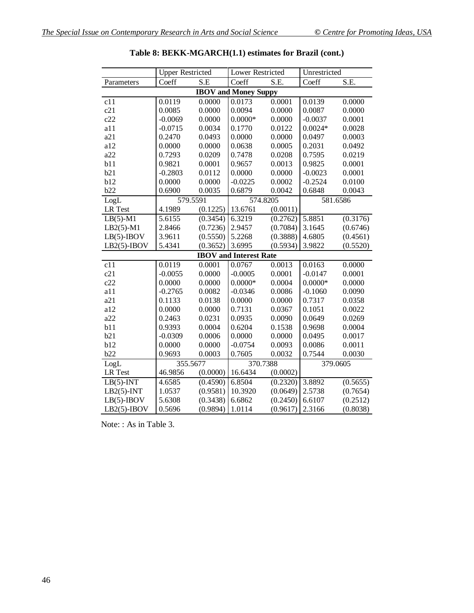|                             | <b>Upper Restricted</b> |                                | Lower Restricted              |                                 | Unrestricted |          |
|-----------------------------|-------------------------|--------------------------------|-------------------------------|---------------------------------|--------------|----------|
| Parameters                  | Coeff                   | $\overline{\text{S}}.\text{E}$ | Coeff                         | $\overline{\text{S}}.\text{E}.$ | Coeff        | S.E.     |
| <b>IBOV</b> and Money Suppy |                         |                                |                               |                                 |              |          |
| c11                         | $\overline{0.0119}$     | 0.0000                         | 0.0173                        | 0.0001                          | 0.0139       | 0.0000   |
| c21                         | 0.0085                  | 0.0000                         | 0.0094                        | 0.0000                          | 0.0087       | 0.0000   |
| c22                         | $-0.0069$               | 0.0000                         | $0.0000*$                     | 0.0000                          | $-0.0037$    | 0.0001   |
| a11                         | $-0.0715$               | 0.0034                         | 0.1770                        | 0.0122                          | $0.0024*$    | 0.0028   |
| a21                         | 0.2470                  | 0.0493                         | 0.0000                        | 0.0000                          | 0.0497       | 0.0003   |
| a12                         | 0.0000                  | 0.0000                         | 0.0638                        | 0.0005                          | 0.2031       | 0.0492   |
| a22                         | 0.7293                  | 0.0209                         | 0.7478                        | 0.0208                          | 0.7595       | 0.0219   |
| b11                         | 0.9821                  | 0.0001                         | 0.9657                        | 0.0013                          | 0.9825       | 0.0001   |
| b21                         | $-0.2803$               | 0.0112                         | 0.0000                        | 0.0000                          | $-0.0023$    | 0.0001   |
| b12                         | 0.0000                  | 0.0000                         | $-0.0225$                     | 0.0002                          | $-0.2524$    | 0.0100   |
| b22                         | 0.6900                  | 0.0035                         | 0.6879                        | 0.0042                          | 0.6848       | 0.0043   |
| LogL                        | 579.5591                |                                | 574.8205                      |                                 | 581.6586     |          |
| <b>LR</b> Test              | 4.1989                  | (0.1225)                       | 13.6761                       | (0.0011)                        |              |          |
| $LB(5)-M1$                  | 5.6155                  | (0.3454)                       | 6.3219                        | (0.2762)                        | 5.8851       | (0.3176) |
| $LB2(5)-M1$                 | 2.8466                  | (0.7236)                       | 2.9457                        | (0.7084)                        | 3.1645       | (0.6746) |
| $LB(5)$ -IBOV               | 3.9611                  | (0.5550)                       | 5.2268                        | (0.3888)                        | 4.6805       | (0.4561) |
| $LB2(5)-IBOV$               | 5.4341                  | (0.3652)                       | 3.6995                        | (0.5934)                        | 3.9822       | (0.5520) |
|                             |                         |                                | <b>IBOV</b> and Interest Rate |                                 |              |          |
| c11                         | 0.0119                  | 0.0001                         | 0.0767                        | 0.0013                          | 0.0163       | 0.0000   |
| c21                         | $-0.0055$               | 0.0000                         | $-0.0005$                     | 0.0001                          | $-0.0147$    | 0.0001   |
| c22                         | 0.0000                  | 0.0000                         | $0.0000*$                     | 0.0004                          | $0.0000*$    | 0.0000   |
| a11                         | $-0.2765$               | 0.0082                         | $-0.0346$                     | 0.0086                          | $-0.1060$    | 0.0090   |
| a21                         | 0.1133                  | 0.0138                         | 0.0000                        | 0.0000                          | 0.7317       | 0.0358   |
| a12                         | 0.0000                  | 0.0000                         | 0.7131                        | 0.0367                          | 0.1051       | 0.0022   |
| a22                         | 0.2463                  | 0.0231                         | 0.0935                        | 0.0090                          | 0.0649       | 0.0269   |
| b11                         | 0.9393                  | 0.0004                         | 0.6204                        | 0.1538                          | 0.9698       | 0.0004   |
| b21                         | $-0.0309$               | 0.0006                         | 0.0000                        | 0.0000                          | 0.0495       | 0.0017   |
| b12                         | 0.0000                  | 0.0000                         | $-0.0754$                     | 0.0093                          | 0.0086       | 0.0011   |
| b22                         | 0.9693                  | 0.0003                         | 0.7605                        | 0.0032                          | 0.7544       | 0.0030   |
| LogL                        | 355.5677                |                                | 370.7388                      |                                 | 379.0605     |          |
| <b>LR</b> Test              | 46.9856                 | (0.0000)                       | 16.6434                       | (0.0002)                        |              |          |
| $LB(5)-INT$                 | 4.6585                  | (0.4590)                       | 6.8504                        | (0.2320)                        | 3.8892       | (0.5655) |
| $LB2(5)$ -INT               | 1.0537                  | (0.9581)                       | 10.3920                       | (0.0649)                        | 2.5738       | (0.7654) |
| $LB(5)$ -IBOV               | 5.6308                  | (0.3438)                       | 6.6862                        | (0.2450)                        | 6.6107       | (0.2512) |
| $LB2(5)-IBOV$               | 0.5696                  | (0.9894)                       | 1.0114                        | (0.9617)                        | 2.3166       | (0.8038) |

| Table 8: BEKK-MGARCH(1.1) estimates for Brazil (cont.) |  |  |  |
|--------------------------------------------------------|--|--|--|
|--------------------------------------------------------|--|--|--|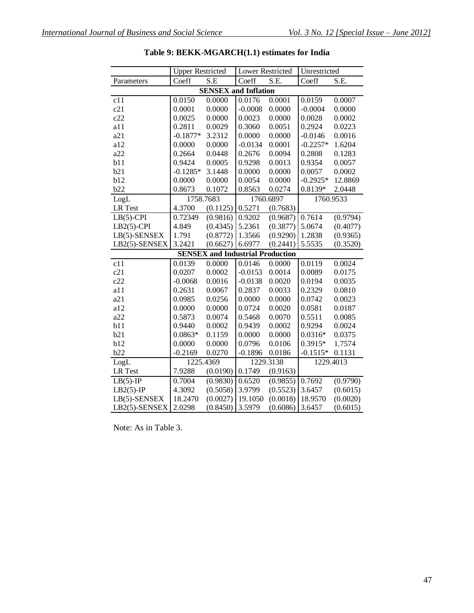|                  | <b>Upper Restricted</b> |                                         | Lower Restricted |           | Unrestricted |          |
|------------------|-------------------------|-----------------------------------------|------------------|-----------|--------------|----------|
| Parameters       | Coeff                   | S.E                                     | Coeff            | S.E.      | Coeff        | S.E.     |
|                  |                         | <b>SENSEX and Inflation</b>             |                  |           |              |          |
| $\overline{c11}$ | 0.0150                  | 0.0000                                  | 0.0176           | 0.0001    | 0.0159       | 0.0007   |
| c21              | 0.0001                  | 0.0000                                  | $-0.0008$        | 0.0000    | $-0.0004$    | 0.0000   |
| c22              | 0.0025                  | 0.0000                                  | 0.0023           | 0.0000    | 0.0028       | 0.0002   |
| a11              | 0.2811                  | 0.0029                                  | 0.3060           | 0.0051    | 0.2924       | 0.0223   |
| a21              | $-0.1877*$              | 3.2312                                  | 0.0000           | 0.0000    | $-0.0146$    | 0.0016   |
| a12              | 0.0000                  | 0.0000                                  | $-0.0134$        | 0.0001    | $-0.2257*$   | 1.6204   |
| a22              | 0.2664                  | 0.0448                                  | 0.2676           | 0.0094    | 0.2808       | 0.1283   |
| b11              | 0.9424                  | 0.0005                                  | 0.9298           | 0.0013    | 0.9354       | 0.0057   |
| b21              | $-0.1285*$              | 3.1448                                  | 0.0000           | 0.0000    | 0.0057       | 0.0002   |
| b12              | 0.0000                  | 0.0000                                  | 0.0054           | 0.0000    | $-0.2925*$   | 12.8869  |
| b22              | 0.8673                  | 0.1072                                  | 0.8563           | 0.0274    | 0.8139*      | 2.0448   |
| LogL             | 1758.7683               |                                         |                  | 1760.6897 | 1760.9533    |          |
| <b>LR</b> Test   | 4.3700                  | (0.1125)                                | 0.5271           | (0.7683)  |              |          |
| $LB(5)$ -CPI     | 0.72349                 | (0.9816)                                | 0.9202           | (0.9687)  | 0.7614       | (0.9794) |
| $LB2(5)$ -CPI    | 4.849                   | (0.4345)                                | 5.2361           | (0.3877)  | 5.0674       | (0.4077) |
| LB(5)-SENSEX     | 1.791                   | (0.8772)                                | 1.3566           | (0.9290)  | 1.2838       | (0.9365) |
| LB2(5)-SENSEX    | 3.2421                  | (0.6627)                                | 6.6977           | (0.2441)  | 5.5535       | (0.3520) |
|                  |                         | <b>SENSEX and Industrial Production</b> |                  |           |              |          |
| $\overline{c11}$ | 0.0139                  | 0.0000                                  | 0.0146           | 0.0000    | 0.0119       | 0.0024   |
| c21              | 0.0207                  | 0.0002                                  | $-0.0153$        | 0.0014    | 0.0089       | 0.0175   |
| c22              | $-0.0068$               | 0.0016                                  | $-0.0138$        | 0.0020    | 0.0194       | 0.0035   |
| a11              | 0.2631                  | 0.0067                                  | 0.2837           | 0.0033    | 0.2329       | 0.0810   |
| a21              | 0.0985                  | 0.0256                                  | 0.0000           | 0.0000    | 0.0742       | 0.0023   |
| a12              | 0.0000                  | 0.0000                                  | 0.0724           | 0.0020    | 0.0581       | 0.0187   |
| a22              | 0.5873                  | 0.0074                                  | 0.5468           | 0.0070    | 0.5511       | 0.0085   |
| b11              | 0.9440                  | 0.0002                                  | 0.9439           | 0.0002    | 0.9294       | 0.0024   |
| b21              | $0.0863*$               | 0.1159                                  | 0.0000           | 0.0000    | $0.0316*$    | 0.0375   |
| b12              | 0.0000                  | 0.0000                                  | 0.0796           | 0.0106    | 0.3915*      | 1.7574   |
| b22              | $-0.2169$               | 0.0270                                  | $-0.1896$        | 0.0186    | $-0.1515*$   | 0.1131   |
| LogL             |                         | 1225.4369                               |                  | 1229.3138 | 1229.4013    |          |
| <b>LR</b> Test   | 7.9288                  | (0.0190)                                | 0.1749           | (0.9163)  |              |          |
| $LB(5)-IP$       | 0.7004                  | (0.9830)                                | 0.6520           | (0.9855)  | 0.7692       | (0.9790) |
| $LB2(5)-IP$      | 4.3092                  | (0.5058)                                | 3.9799           | (0.5523)  | 3.6457       | (0.6015) |
| LB(5)-SENSEX     | 18.2470                 | (0.0027)                                | 19.1050          | (0.0018)  | 18.9570      | (0.0020) |
| LB2(5)-SENSEX    | 2.0298                  | (0.8450)                                | 3.5979           | (0.6086)  | 3.6457       | (0.6015) |

**Table 9: BEKK-MGARCH(1.1) estimates for India**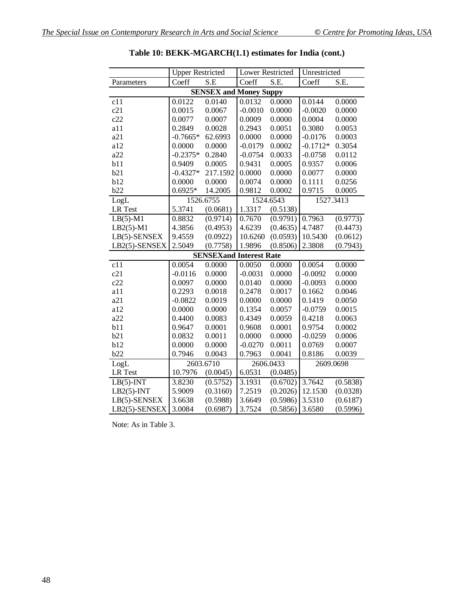|                  | <b>Upper Restricted</b> |                                | Lower Restricted |           | Unrestricted |          |
|------------------|-------------------------|--------------------------------|------------------|-----------|--------------|----------|
| Parameters       | Coeff                   | S.E                            | Coeff            | S.E.      | Coeff        | S.E.     |
|                  |                         | <b>SENSEX and Money Suppy</b>  |                  |           |              |          |
| c11              | 0.0122                  | 0.0140                         | 0.0132           | 0.0000    | 0.0144       | 0.0000   |
| c21              | 0.0015                  | 0.0067                         | $-0.0010$        | 0.0000    | $-0.0020$    | 0.0000   |
| c22              | 0.0077                  | 0.0007                         | 0.0009           | 0.0000    | 0.0004       | 0.0000   |
| a11              | 0.2849                  | 0.0028                         | 0.2943           | 0.0051    | 0.3080       | 0.0053   |
| a21              | $-0.7665*$              | 62.6993                        | 0.0000           | 0.0000    | $-0.0176$    | 0.0003   |
| a12              | 0.0000                  | 0.0000                         | $-0.0179$        | 0.0002    | $-0.1712*$   | 0.3054   |
| a22              | $-0.2375*$              | 0.2840                         | $-0.0754$        | 0.0033    | $-0.0758$    | 0.0112   |
| b11              | 0.9409                  | 0.0005                         | 0.9431           | 0.0005    | 0.9357       | 0.0006   |
| b21              | $-0.4327*$              | 217.1592                       | 0.0000           | 0.0000    | 0.0077       | 0.0000   |
| b12              | 0.0000                  | 0.0000                         | 0.0074           | 0.0000    | 0.1111       | 0.0256   |
| b22              | $0.6925*$               | 14.2005                        | 0.9812           | 0.0002    | 0.9715       | 0.0005   |
| LogL             |                         | 1526.6755                      |                  | 1524.6543 | 1527.3413    |          |
| LR Test          | 5.3741                  | (0.0681)                       | 1.3317           | (0.5138)  |              |          |
| $LB(5)-M1$       | 0.8832                  | (0.9714)                       | 0.7670           | (0.9791)  | 0.7963       | (0.9773) |
| $LB2(5)-M1$      | 4.3856                  | (0.4953)                       | 4.6239           | (0.4635)  | 4.7487       | (0.4473) |
| LB(5)-SENSEX     | 9.4559                  | (0.0922)                       | 10.6260          | (0.0593)  | 10.5430      | (0.0612) |
| LB2(5)-SENSEX    | 2.5049                  | (0.7758)                       | 1.9896           | (0.8506)  | 2.3808       | (0.7943) |
|                  |                         | <b>SENSEXand Interest Rate</b> |                  |           |              |          |
| $\overline{c11}$ | 0.0054                  | 0.0000                         | 0.0050           | 0.0000    | 0.0054       | 0.0000   |
| c21              | $-0.0116$               | 0.0000                         | $-0.0031$        | 0.0000    | $-0.0092$    | 0.0000   |
| c22              | 0.0097                  | 0.0000                         | 0.0140           | 0.0000    | $-0.0093$    | 0.0000   |
| a11              | 0.2293                  | 0.0018                         | 0.2478           | 0.0017    | 0.1662       | 0.0046   |
| a21              | $-0.0822$               | 0.0019                         | 0.0000           | 0.0000    | 0.1419       | 0.0050   |
| a12              | 0.0000                  | 0.0000                         | 0.1354           | 0.0057    | $-0.0759$    | 0.0015   |
| a22              | 0.4400                  | 0.0083                         | 0.4349           | 0.0059    | 0.4218       | 0.0063   |
| b11              | 0.9647                  | 0.0001                         | 0.9608           | 0.0001    | 0.9754       | 0.0002   |
| b21              | 0.0832                  | 0.0011                         | 0.0000           | 0.0000    | $-0.0259$    | 0.0006   |
| b12              | 0.0000                  | 0.0000                         | $-0.0270$        | 0.0011    | 0.0769       | 0.0007   |
| b22              | 0.7946                  | 0.0043                         | 0.7963           | 0.0041    | 0.8186       | 0.0039   |
| LogL             |                         | 2603.6710                      |                  | 2606.0433 | 2609.0698    |          |
| LR Test          | 10.7976                 | (0.0045)                       | 6.0531           | (0.0485)  |              |          |
| $LB(5)$ -INT     | 3.8230                  | (0.5752)                       | 3.1931           | (0.6702)  | 3.7642       | (0.5838) |
| $LB2(5)$ -INT    | 5.9009                  | (0.3160)                       | 7.2519           | (0.2026)  | 12.1530      | (0.0328) |
| LB(5)-SENSEX     | 3.6638                  | (0.5988)                       | 3.6649           | (0.5986)  | 3.5310       | (0.6187) |
| LB2(5)-SENSEX    | 3.0084                  | (0.6987)                       | 3.7524           | (0.5856)  | 3.6580       | (0.5996) |

| Table 10: BEKK-MGARCH(1.1) estimates for India (cont.) |  |
|--------------------------------------------------------|--|
|--------------------------------------------------------|--|